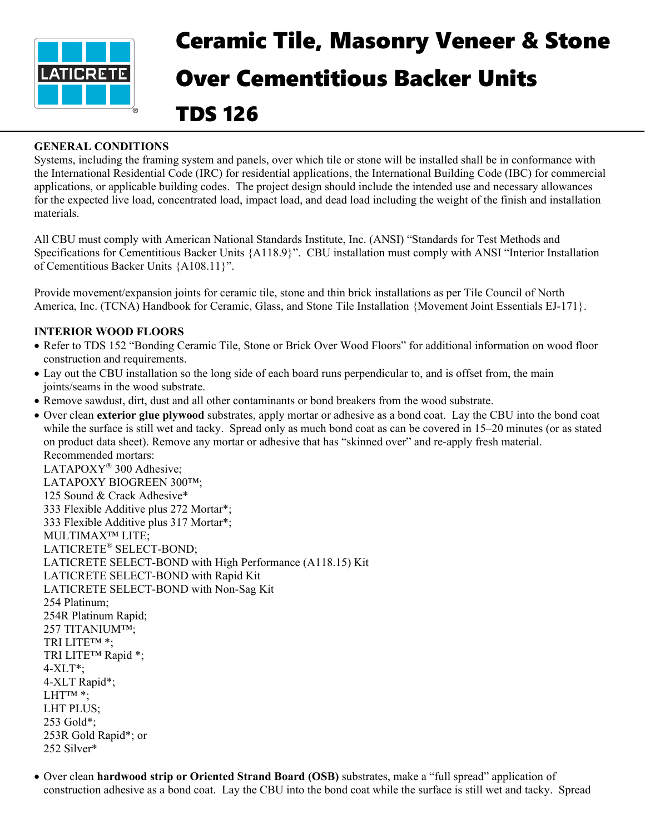

## Ceramic Tile, Masonry Veneer & Stone Over Cementitious Backer Units TDS 126

## **GENERAL CONDITIONS**

Systems, including the framing system and panels, over which tile or stone will be installed shall be in conformance with the International Residential Code (IRC) for residential applications, the International Building Code (IBC) for commercial applications, or applicable building codes. The project design should include the intended use and necessary allowances for the expected live load, concentrated load, impact load, and dead load including the weight of the finish and installation materials.

All CBU must comply with American National Standards Institute, Inc. (ANSI) "Standards for Test Methods and Specifications for Cementitious Backer Units {A118.9}". CBU installation must comply with ANSI "Interior Installation of Cementitious Backer Units {A108.11}".

Provide movement/expansion joints for ceramic tile, stone and thin brick installations as per Tile Council of North America, Inc. (TCNA) Handbook for Ceramic, Glass, and Stone Tile Installation {Movement Joint Essentials EJ-171}.

## **INTERIOR WOOD FLOORS**

- Refer to TDS 152 "Bonding Ceramic Tile, Stone or Brick Over Wood Floors" for additional information on wood floor construction and requirements.
- Lay out the CBU installation so the long side of each board runs perpendicular to, and is offset from, the main joints/seams in the wood substrate.
- Remove sawdust, dirt, dust and all other contaminants or bond breakers from the wood substrate.
- Over clean **exterior glue plywood** substrates, apply mortar or adhesive as a bond coat. Lay the CBU into the bond coat while the surface is still wet and tacky. Spread only as much bond coat as can be covered in 15–20 minutes (or as stated on product data sheet). Remove any mortar or adhesive that has "skinned over" and re-apply fresh material. Recommended mortars:

LATAPOXY<sup>®</sup> 300 Adhesive; LATAPOXY BIOGREEN 300™; 125 Sound & Crack Adhesive\* 333 Flexible Additive plus 272 Mortar\*; 333 Flexible Additive plus 317 Mortar\*; MULTIMAX™ LITE; LATICRETE® SELECT-BOND; LATICRETE SELECT-BOND with High Performance (A118.15) Kit LATICRETE SELECT-BOND with Rapid Kit LATICRETE SELECT-BOND with Non-Sag Kit 254 Platinum; 254R Platinum Rapid; 257 TITANIUM™; TRI LITE™ \*; TRI LITE™ Rapid \*; 4-XLT\*; 4-XLT Rapid\*;  $LHT^{TM}$  \*; LHT PLUS; 253 Gold\*; 253R Gold Rapid\*; or 252 Silver\*

• Over clean **hardwood strip or Oriented Strand Board (OSB)** substrates, make a "full spread" application of construction adhesive as a bond coat. Lay the CBU into the bond coat while the surface is still wet and tacky. Spread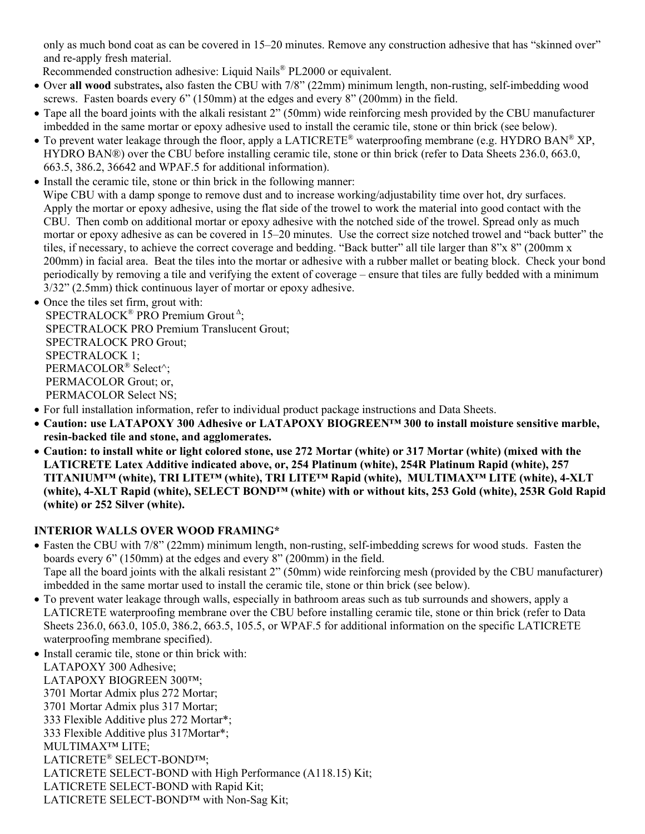only as much bond coat as can be covered in 15–20 minutes. Remove any construction adhesive that has "skinned over" and re-apply fresh material.

Recommended construction adhesive: Liquid Nails® PL2000 or equivalent.

- Over **all wood** substrates**,** also fasten the CBU with 7/8" (22mm) minimum length, non-rusting, self-imbedding wood screws. Fasten boards every 6" (150mm) at the edges and every 8" (200mm) in the field.
- Tape all the board joints with the alkali resistant 2" (50mm) wide reinforcing mesh provided by the CBU manufacturer imbedded in the same mortar or epoxy adhesive used to install the ceramic tile, stone or thin brick (see below).
- To prevent water leakage through the floor, apply a LATICRETE<sup>®</sup> waterproofing membrane (e.g. HYDRO BAN<sup>®</sup> XP, HYDRO BAN®) over the CBU before installing ceramic tile, stone or thin brick (refer to Data Sheets 236.0, 663.0, 663.5, 386.2, 36642 and WPAF.5 for additional information).
- Install the ceramic tile, stone or thin brick in the following manner: Wipe CBU with a damp sponge to remove dust and to increase working/adjustability time over hot, dry surfaces. Apply the mortar or epoxy adhesive, using the flat side of the trowel to work the material into good contact with the CBU. Then comb on additional mortar or epoxy adhesive with the notched side of the trowel. Spread only as much mortar or epoxy adhesive as can be covered in 15–20 minutes. Use the correct size notched trowel and "back butter" the tiles, if necessary, to achieve the correct coverage and bedding. "Back butter" all tile larger than 8"x 8" (200mm x 200mm) in facial area. Beat the tiles into the mortar or adhesive with a rubber mallet or beating block. Check your bond periodically by removing a tile and verifying the extent of coverage – ensure that tiles are fully bedded with a minimum 3/32" (2.5mm) thick continuous layer of mortar or epoxy adhesive.
- Once the tiles set firm, grout with: SPECTRALOCK<sup>®</sup> PRO Premium Grout<sup>A</sup>; SPECTRALOCK PRO Premium Translucent Grout; SPECTRALOCK PRO Grout; SPECTRALOCK 1; PERMACOLOR® Select^; PERMACOLOR Grout; or, PERMACOLOR Select NS;
- For full installation information, refer to individual product package instructions and Data Sheets.
- **Caution: use LATAPOXY 300 Adhesive or LATAPOXY BIOGREEN™ 300 to install moisture sensitive marble, resin-backed tile and stone, and agglomerates.**
- **Caution: to install white or light colored stone, use 272 Mortar (white) or 317 Mortar (white) (mixed with the LATICRETE Latex Additive indicated above, or, 254 Platinum (white), 254R Platinum Rapid (white), 257 TITANIUM™ (white), TRI LITE™ (white), TRI LITE™ Rapid (white), MULTIMAX™ LITE (white), 4-XLT (white), 4-XLT Rapid (white), SELECT BOND™ (white) with or without kits, 253 Gold (white), 253R Gold Rapid (white) or 252 Silver (white).**

## **INTERIOR WALLS OVER WOOD FRAMING\***

- Fasten the CBU with 7/8" (22mm) minimum length, non-rusting, self-imbedding screws for wood studs. Fasten the boards every 6" (150mm) at the edges and every 8" (200mm) in the field. Tape all the board joints with the alkali resistant 2" (50mm) wide reinforcing mesh (provided by the CBU manufacturer) imbedded in the same mortar used to install the ceramic tile, stone or thin brick (see below).
- To prevent water leakage through walls, especially in bathroom areas such as tub surrounds and showers, apply a LATICRETE waterproofing membrane over the CBU before installing ceramic tile, stone or thin brick (refer to Data Sheets 236.0, 663.0, 105.0, 386.2, 663.5, 105.5, or WPAF.5 for additional information on the specific LATICRETE waterproofing membrane specified).
- Install ceramic tile, stone or thin brick with:

LATAPOXY 300 Adhesive; LATAPOXY BIOGREEN 300™; 3701 Mortar Admix plus 272 Mortar; 3701 Mortar Admix plus 317 Mortar; 333 Flexible Additive plus 272 Mortar\*; 333 Flexible Additive plus 317Mortar\*; MULTIMAX™ LITE; LATICRETE® SELECT-BOND™; LATICRETE SELECT-BOND with High Performance (A118.15) Kit; LATICRETE SELECT-BOND with Rapid Kit; LATICRETE SELECT-BOND™ with Non-Sag Kit;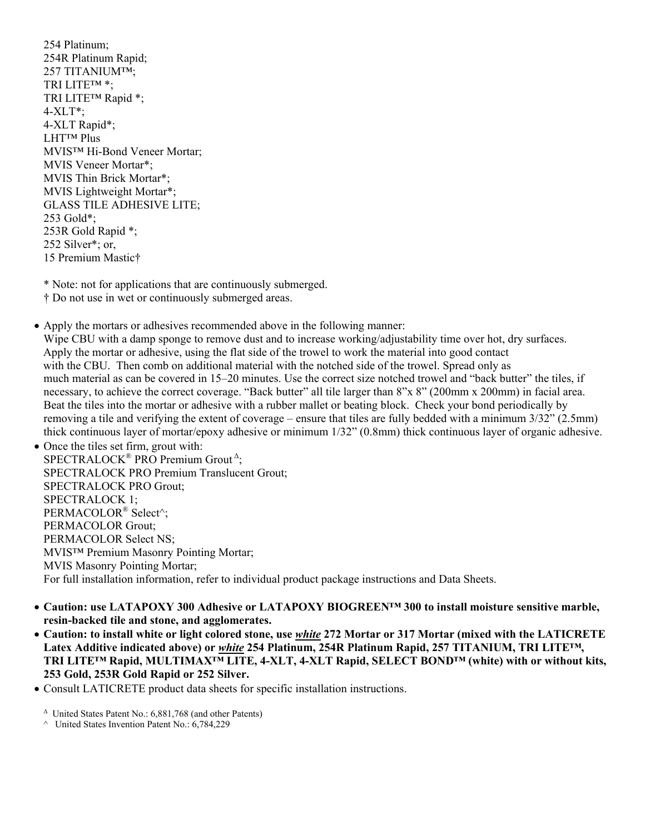254 Platinum; 254R Platinum Rapid; 257 TITANIUM™; TRI LITE™ \*; TRI LITE™ Rapid \*; 4-XLT\*; 4-XLT Rapid\*; LHT™ Plus MVIS™ Hi-Bond Veneer Mortar; MVIS Veneer Mortar\*; MVIS Thin Brick Mortar\*; MVIS Lightweight Mortar\*; GLASS TILE ADHESIVE LITE; 253 Gold\*; 253R Gold Rapid \*; 252 Silver\*; or, 15 Premium Mastic†

\* Note: not for applications that are continuously submerged.

† Do not use in wet or continuously submerged areas.

• Apply the mortars or adhesives recommended above in the following manner:

Wipe CBU with a damp sponge to remove dust and to increase working/adjustability time over hot, dry surfaces. Apply the mortar or adhesive, using the flat side of the trowel to work the material into good contact with the CBU. Then comb on additional material with the notched side of the trowel. Spread only as much material as can be covered in 15–20 minutes. Use the correct size notched trowel and "back butter" the tiles, if necessary, to achieve the correct coverage. "Back butter" all tile larger than 8"x 8" (200mm x 200mm) in facial area. Beat the tiles into the mortar or adhesive with a rubber mallet or beating block. Check your bond periodically by removing a tile and verifying the extent of coverage – ensure that tiles are fully bedded with a minimum 3/32" (2.5mm) thick continuous layer of mortar/epoxy adhesive or minimum 1/32" (0.8mm) thick continuous layer of organic adhesive.

• Once the tiles set firm, grout with: SPECTRALOCK<sup>®</sup> PRO Premium Grout<sup>A</sup>; SPECTRALOCK PRO Premium Translucent Grout; SPECTRALOCK PRO Grout; SPECTRALOCK 1; PERMACOLOR® Select^; PERMACOLOR Grout; PERMACOLOR Select NS; MVIS™ Premium Masonry Pointing Mortar; MVIS Masonry Pointing Mortar; For full installation information, refer to individual product package instructions and Data Sheets.

- **Caution: use LATAPOXY 300 Adhesive or LATAPOXY BIOGREEN™ 300 to install moisture sensitive marble, resin-backed tile and stone, and agglomerates.**
- **Caution: to install white or light colored stone, use** *white* **272 Mortar or 317 Mortar (mixed with the LATICRETE Latex Additive indicated above) or** *white* **254 Platinum, 254R Platinum Rapid, 257 TITANIUM, TRI LITE™, TRI LITE™ Rapid, MULTIMAX™ LITE, 4-XLT, 4-XLT Rapid, SELECT BOND™ (white) with or without kits, 253 Gold, 253R Gold Rapid or 252 Silver.**
- Consult LATICRETE product data sheets for specific installation instructions.

<sup>Δ</sup> United States Patent No.: 6,881,768 (and other Patents)

<sup>^</sup> United States Invention Patent No.: 6,784,229